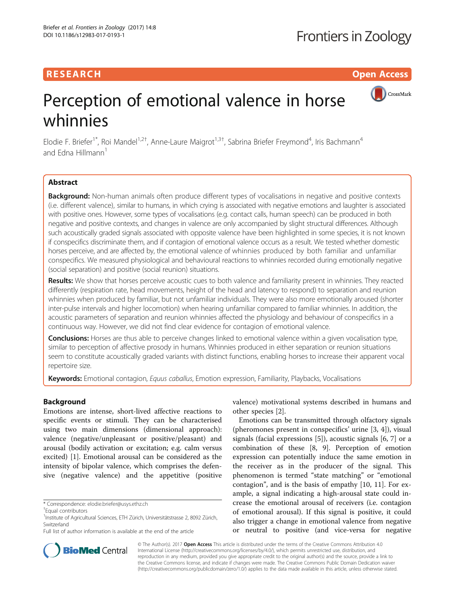## RESEARCH **RESEARCH CHOOSE ACCESS**

CrossMark

# Perception of emotional valence in horse whinnies

Elodie F. Briefer<sup>1\*</sup>, Roi Mandel<sup>1,2†</sup>, Anne-Laure Maigrot<sup>1,3†</sup>, Sabrina Briefer Freymond<sup>4</sup>, Iris Bachmann<sup>4</sup> and Edna Hillmann<sup>1</sup>

## Abstract

**Background:** Non-human animals often produce different types of vocalisations in negative and positive contexts (i.e. different valence), similar to humans, in which crying is associated with negative emotions and laughter is associated with positive ones. However, some types of vocalisations (e.g. contact calls, human speech) can be produced in both negative and positive contexts, and changes in valence are only accompanied by slight structural differences. Although such acoustically graded signals associated with opposite valence have been highlighted in some species, it is not known if conspecifics discriminate them, and if contagion of emotional valence occurs as a result. We tested whether domestic horses perceive, and are affected by, the emotional valence of whinnies produced by both familiar and unfamiliar conspecifics. We measured physiological and behavioural reactions to whinnies recorded during emotionally negative (social separation) and positive (social reunion) situations.

Results: We show that horses perceive acoustic cues to both valence and familiarity present in whinnies. They reacted differently (respiration rate, head movements, height of the head and latency to respond) to separation and reunion whinnies when produced by familiar, but not unfamiliar individuals. They were also more emotionally aroused (shorter inter-pulse intervals and higher locomotion) when hearing unfamiliar compared to familiar whinnies. In addition, the acoustic parameters of separation and reunion whinnies affected the physiology and behaviour of conspecifics in a continuous way. However, we did not find clear evidence for contagion of emotional valence.

Conclusions: Horses are thus able to perceive changes linked to emotional valence within a given vocalisation type, similar to perception of affective prosody in humans. Whinnies produced in either separation or reunion situations seem to constitute acoustically graded variants with distinct functions, enabling horses to increase their apparent vocal repertoire size.

Keywords: Emotional contagion, Equus caballus, Emotion expression, Familiarity, Playbacks, Vocalisations

## Background

Emotions are intense, short-lived affective reactions to specific events or stimuli. They can be characterised using two main dimensions (dimensional approach): valence (negative/unpleasant or positive/pleasant) and arousal (bodily activation or excitation; e.g. calm versus excited) [\[1](#page-10-0)]. Emotional arousal can be considered as the intensity of bipolar valence, which comprises the defensive (negative valence) and the appetitive (positive

valence) motivational systems described in humans and other species [\[2\]](#page-10-0).

Emotions can be transmitted through olfactory signals (pheromones present in conspecifics' urine [\[3](#page-10-0), [4\]](#page-10-0)), visual signals (facial expressions [\[5](#page-10-0)]), acoustic signals [\[6](#page-10-0), [7](#page-10-0)] or a combination of these [[8](#page-10-0), [9](#page-10-0)]. Perception of emotion expression can potentially induce the same emotion in the receiver as in the producer of the signal. This phenomenon is termed "state matching" or "emotional contagion", and is the basis of empathy [[10](#page-10-0), [11\]](#page-10-0). For example, a signal indicating a high-arousal state could increase the emotional arousal of receivers (i.e. contagion of emotional arousal). If this signal is positive, it could also trigger a change in emotional valence from negative or neutral to positive (and vice-versa for negative



© The Author(s). 2017 **Open Access** This article is distributed under the terms of the Creative Commons Attribution 4.0 International License [\(http://creativecommons.org/licenses/by/4.0/](http://creativecommons.org/licenses/by/4.0/)), which permits unrestricted use, distribution, and reproduction in any medium, provided you give appropriate credit to the original author(s) and the source, provide a link to the Creative Commons license, and indicate if changes were made. The Creative Commons Public Domain Dedication waiver [\(http://creativecommons.org/publicdomain/zero/1.0/](http://creativecommons.org/publicdomain/zero/1.0/)) applies to the data made available in this article, unless otherwise stated.

<sup>\*</sup> Correspondence: [elodie.briefer@usys.ethz.ch](mailto:elodie.briefer@usys.ethz.ch) †

Equal contributors

<sup>&</sup>lt;sup>1</sup>Institute of Agricultural Sciences, ETH Zürich, Universitätstrasse 2, 8092 Zürich, Switzerland

Full list of author information is available at the end of the article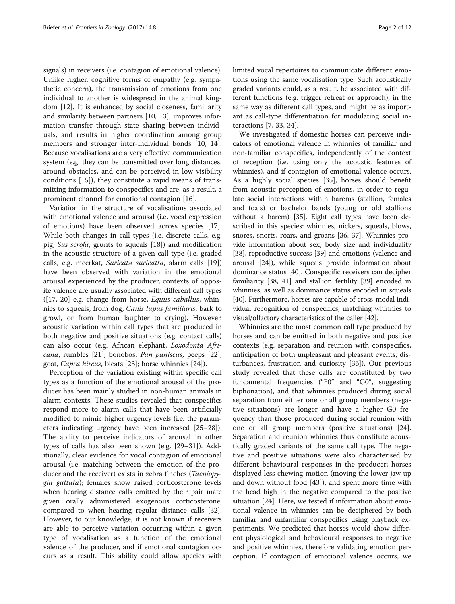signals) in receivers (i.e. contagion of emotional valence). Unlike higher, cognitive forms of empathy (e.g. sympathetic concern), the transmission of emotions from one individual to another is widespread in the animal kingdom [\[12](#page-10-0)]. It is enhanced by social closeness, familiarity and similarity between partners [\[10](#page-10-0), [13](#page-10-0)], improves information transfer through state sharing between individuals, and results in higher coordination among group members and stronger inter-individual bonds [[10](#page-10-0), [14](#page-10-0)]. Because vocalisations are a very effective communication system (e.g. they can be transmitted over long distances, around obstacles, and can be perceived in low visibility conditions [\[15\]](#page-10-0)), they constitute a rapid means of transmitting information to conspecifics and are, as a result, a prominent channel for emotional contagion [\[16](#page-10-0)].

Variation in the structure of vocalisations associated with emotional valence and arousal (i.e. vocal expression of emotions) have been observed across species [\[17](#page-10-0)]. While both changes in call types (i.e. discrete calls, e.g. pig, Sus scrofa, grunts to squeals [\[18](#page-10-0)]) and modification in the acoustic structure of a given call type (i.e. graded calls, e.g. meerkat, Suricata suricatta, alarm calls [\[19](#page-10-0)]) have been observed with variation in the emotional arousal experienced by the producer, contexts of opposite valence are usually associated with different call types  $([17, 20]$  $([17, 20]$  e.g. change from horse, *Equus caballus*, whinnies to squeals, from dog, Canis lupus familiaris, bark to growl, or from human laughter to crying). However, acoustic variation within call types that are produced in both negative and positive situations (e.g. contact calls) can also occur (e.g. African elephant, Loxodonta Africana, rumbles [\[21](#page-10-0)]; bonobos, Pan paniscus, peeps [\[22](#page-10-0)]; goat, Capra hircus, bleats [\[23\]](#page-10-0); horse whinnies [[24\]](#page-10-0)).

Perception of the variation existing within specific call types as a function of the emotional arousal of the producer has been mainly studied in non-human animals in alarm contexts. These studies revealed that conspecifics respond more to alarm calls that have been artificially modified to mimic higher urgency levels (i.e. the parameters indicating urgency have been increased [\[25](#page-10-0)–[28](#page-10-0)]). The ability to perceive indicators of arousal in other types of calls has also been shown (e.g. [\[29](#page-10-0)–[31\]](#page-10-0)). Additionally, clear evidence for vocal contagion of emotional arousal (i.e. matching between the emotion of the producer and the receiver) exists in zebra finches (Taeniopygia guttata); females show raised corticosterone levels when hearing distance calls emitted by their pair mate given orally administered exogenous corticosterone, compared to when hearing regular distance calls [\[32](#page-10-0)]. However, to our knowledge, it is not known if receivers are able to perceive variation occurring within a given type of vocalisation as a function of the emotional valence of the producer, and if emotional contagion occurs as a result. This ability could allow species with limited vocal repertoires to communicate different emotions using the same vocalisation type. Such acoustically graded variants could, as a result, be associated with different functions (e.g. trigger retreat or approach), in the same way as different call types, and might be as important as call-type differentiation for modulating social interactions [[7, 33,](#page-10-0) [34\]](#page-11-0).

We investigated if domestic horses can perceive indicators of emotional valence in whinnies of familiar and non-familiar conspecifics, independently of the context of reception (i.e. using only the acoustic features of whinnies), and if contagion of emotional valence occurs. As a highly social species [\[35\]](#page-11-0), horses should benefit from acoustic perception of emotions, in order to regulate social interactions within harems (stallion, females and foals) or bachelor bands (young or old stallions without a harem) [\[35](#page-11-0)]. Eight call types have been described in this species: whinnies, nickers, squeals, blows, snores, snorts, roars, and groans [[36, 37\]](#page-11-0). Whinnies provide information about sex, body size and individuality [[38](#page-11-0)], reproductive success [[39](#page-11-0)] and emotions (valence and arousal [\[24\]](#page-10-0)), while squeals provide information about dominance status [\[40\]](#page-11-0). Conspecific receivers can decipher familiarity [[38](#page-11-0), [41\]](#page-11-0) and stallion fertility [\[39\]](#page-11-0) encoded in whinnies, as well as dominance status encoded in squeals [[40](#page-11-0)]. Furthermore, horses are capable of cross-modal individual recognition of conspecifics, matching whinnies to visual/olfactory characteristics of the caller [[42](#page-11-0)].

Whinnies are the most common call type produced by horses and can be emitted in both negative and positive contexts (e.g. separation and reunion with conspecifics, anticipation of both unpleasant and pleasant events, disturbances, frustration and curiosity [\[36](#page-11-0)]). Our previous study revealed that these calls are constituted by two fundamental frequencies ("F0" and "G0", suggesting biphonation), and that whinnies produced during social separation from either one or all group members (negative situations) are longer and have a higher G0 frequency than those produced during social reunion with one or all group members (positive situations) [\[24](#page-10-0)]. Separation and reunion whinnies thus constitute acoustically graded variants of the same call type. The negative and positive situations were also characterised by different behavioural responses in the producer; horses displayed less chewing motion (moving the lower jaw up and down without food [[43\]](#page-11-0)), and spent more time with the head high in the negative compared to the positive situation [\[24](#page-10-0)]. Here, we tested if information about emotional valence in whinnies can be deciphered by both familiar and unfamiliar conspecifics using playback experiments. We predicted that horses would show different physiological and behavioural responses to negative and positive whinnies, therefore validating emotion perception. If contagion of emotional valence occurs, we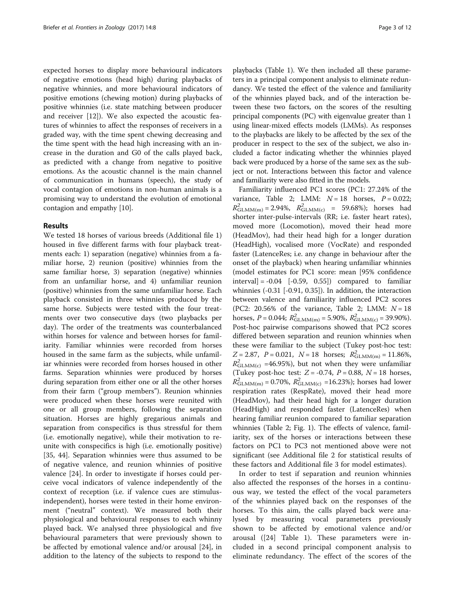expected horses to display more behavioural indicators of negative emotions (head high) during playbacks of negative whinnies, and more behavioural indicators of positive emotions (chewing motion) during playbacks of positive whinnies (i.e. state matching between producer and receiver [\[12](#page-10-0)]). We also expected the acoustic features of whinnies to affect the responses of receivers in a graded way, with the time spent chewing decreasing and the time spent with the head high increasing with an increase in the duration and G0 of the calls played back, as predicted with a change from negative to positive emotions. As the acoustic channel is the main channel of communication in humans (speech), the study of vocal contagion of emotions in non-human animals is a promising way to understand the evolution of emotional contagion and empathy [\[10\]](#page-10-0).

## Results

We tested 18 horses of various breeds (Additional file [1](#page-9-0)) housed in five different farms with four playback treatments each: 1) separation (negative) whinnies from a familiar horse, 2) reunion (positive) whinnies from the same familiar horse, 3) separation (negative) whinnies from an unfamiliar horse, and 4) unfamiliar reunion (positive) whinnies from the same unfamiliar horse. Each playback consisted in three whinnies produced by the same horse. Subjects were tested with the four treatments over two consecutive days (two playbacks per day). The order of the treatments was counterbalanced within horses for valence and between horses for familiarity. Familiar whinnies were recorded from horses housed in the same farm as the subjects, while unfamiliar whinnies were recorded from horses housed in other farms. Separation whinnies were produced by horses during separation from either one or all the other horses from their farm ("group members"). Reunion whinnies were produced when these horses were reunited with one or all group members, following the separation situation. Horses are highly gregarious animals and separation from conspecifics is thus stressful for them (i.e. emotionally negative), while their motivation to reunite with conspecifics is high (i.e. emotionally positive) [[35, 44\]](#page-11-0). Separation whinnies were thus assumed to be of negative valence, and reunion whinnies of positive valence [[24](#page-10-0)]. In order to investigate if horses could perceive vocal indicators of valence independently of the context of reception (i.e. if valence cues are stimulusindependent), horses were tested in their home environment ("neutral" context). We measured both their physiological and behavioural responses to each whinny played back. We analysed three physiological and five behavioural parameters that were previously shown to be affected by emotional valence and/or arousal [[24\]](#page-10-0), in addition to the latency of the subjects to respond to the

playbacks (Table [1\)](#page-3-0). We then included all these parameters in a principal component analysis to eliminate redundancy. We tested the effect of the valence and familiarity of the whinnies played back, and of the interaction between these two factors, on the scores of the resulting principal components (PC) with eigenvalue greater than 1 using linear-mixed effects models (LMMs). As responses to the playbacks are likely to be affected by the sex of the producer in respect to the sex of the subject, we also included a factor indicating whether the whinnies played back were produced by a horse of the same sex as the subject or not. Interactions between this factor and valence and familiarity were also fitted in the models.

Familiarity influenced PC1 scores (PC1: 27.24% of the variance, Table [2;](#page-3-0) LMM:  $N = 18$  horses,  $P = 0.022$ ;  $R_{\text{GLMM}(m)}^2 = 2.94\%, R_{\text{GLMM}(c)}^2 = 59.68\%$ ; horses had shorter inter-pulse-intervals (RR; i.e. faster heart rates), moved more (Locomotion), moved their head more (HeadMov), had their head high for a longer duration (HeadHigh), vocalised more (VocRate) and responded faster (LatenceRes; i.e. any change in behaviour after the onset of the playback) when hearing unfamiliar whinnies (model estimates for PC1 score: mean [95% confidence interval] =  $-0.04$  [ $-0.59$ ,  $0.55$ ]) compared to familiar whinnies (-0.31 [-0.91, 0.35]). In addition, the interaction between valence and familiarity influenced PC2 scores (PC2:  $20.56\%$  of the variance, Table [2;](#page-3-0) LMM:  $N = 18$ horses,  $P = 0.044$ ;  $R_{\text{GLMM(m)}}^2 = 5.90\%$ ,  $R_{\text{GLMM(c)}}^2 = 39.90\%$ ). Post-hoc pairwise comparisons showed that PC2 scores differed between separation and reunion whinnies when these were familiar to the subject (Tukey post-hoc test:  $Z = 2.87$ ,  $P = 0.021$ ,  $N = 18$  horses;  $R_{\text{GLMM(m)}}^2 = 11.86\%$ ,  $R_{\text{GLMM}(c)}^2$  =46.95%), but not when they were unfamiliar (Tukey post-hoc test:  $Z = -0.74$ ,  $P = 0.88$ ,  $N = 18$  horses,  $R_{\text{GLMM(m)}}^2 = 0.70\%$ ,  $R_{\text{GLMM(c)}}^2 = 16.23\%$ ; horses had lower respiration rates (RespRate), moved their head more (HeadMov), had their head high for a longer duration (HeadHigh) and responded faster (LatenceRes) when hearing familiar reunion compared to familiar separation whinnies (Table [2;](#page-3-0) Fig. [1\)](#page-4-0). The effects of valence, familiarity, sex of the horses or interactions between these factors on PC1 to PC3 not mentioned above were not significant (see Additional file [2](#page-9-0) for statistical results of these factors and Additional file [3](#page-9-0) for model estimates).

In order to test if separation and reunion whinnies also affected the responses of the horses in a continuous way, we tested the effect of the vocal parameters of the whinnies played back on the responses of the horses. To this aim, the calls played back were analysed by measuring vocal parameters previously shown to be affected by emotional valence and/or arousal ([[24](#page-10-0)] Table [1\)](#page-3-0). These parameters were included in a second principal component analysis to eliminate redundancy. The effect of the scores of the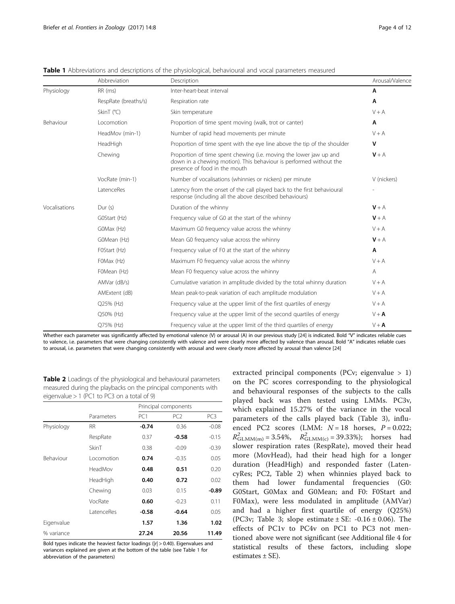<span id="page-3-0"></span>

|               | Abbreviation         | Description                                                                                                                                                               | Arousal/Valence |
|---------------|----------------------|---------------------------------------------------------------------------------------------------------------------------------------------------------------------------|-----------------|
| Physiology    | RR (ms)              | Inter-heart-beat interval                                                                                                                                                 | Α               |
|               | RespRate (breaths/s) | Respiration rate                                                                                                                                                          | A               |
|               | Skin $T$ ( $°C$ )    | Skin temperature                                                                                                                                                          | $V + A$         |
| Behaviour     | Locomotion           | Proportion of time spent moving (walk, trot or canter)                                                                                                                    | Α               |
|               | HeadMov (min-1)      | Number of rapid head movements per minute                                                                                                                                 | $V + A$         |
|               | HeadHigh             | Proportion of time spent with the eye line above the tip of the shoulder                                                                                                  | V               |
|               | Chewing              | Proportion of time spent chewing (i.e. moving the lower jaw up and<br>down in a chewing motion). This behaviour is performed without the<br>presence of food in the mouth | $V + A$         |
|               | VocRate (min-1)      | Number of vocalisations (whinnies or nickers) per minute                                                                                                                  | V (nickers)     |
|               | LatenceRes           | Latency from the onset of the call played back to the first behavioural<br>response (including all the above described behaviours)                                        |                 |
| Vocalisations | Dur(s)               | Duration of the whinny                                                                                                                                                    | $V + A$         |
|               | GOStart (Hz)         | Frequency value of G0 at the start of the whinny                                                                                                                          | $V + A$         |
|               | GOMax (Hz)           | Maximum G0 frequency value across the whinny                                                                                                                              | $V + A$         |
|               | G0Mean (Hz)          | Mean G0 frequency value across the whinny                                                                                                                                 | $V + A$         |
|               | FOStart (Hz)         | Frequency value of F0 at the start of the whinny                                                                                                                          | Α               |
|               | FOMax (Hz)           | Maximum F0 frequency value across the whinny                                                                                                                              | $V + A$         |
|               | F0Mean (Hz)          | Mean F0 frequency value across the whinny                                                                                                                                 | A               |
|               | AMVar (dB/s)         | Cumulative variation in amplitude divided by the total whinny duration                                                                                                    | $V + A$         |
|               | AMExtent (dB)        | Mean peak-to-peak variation of each amplitude modulation                                                                                                                  | $V + A$         |
|               | Q25% (Hz)            | Frequency value at the upper limit of the first quartiles of energy                                                                                                       | $V + A$         |
|               | Q50% (Hz)            | Frequency value at the upper limit of the second quartiles of energy                                                                                                      | $V + A$         |
|               | Q75% (Hz)            | Frequency value at the upper limit of the third quartiles of energy                                                                                                       | $V + A$         |

Whether each parameter was significantly affected by emotional valence (V) or arousal (A) in our previous study [\[24\]](#page-10-0) is indicated. Bold "V" indicates reliable cues to valence, i.e. parameters that were changing consistently with valence and were clearly more affected by valence than arousal. Bold "A" indicates reliable cues to arousal, i.e. parameters that were changing consistently with arousal and were clearly more affected by arousal than valence [[24\]](#page-10-0)

Table 2 Loadings of the physiological and behavioural parameters measured during the playbacks on the principal components with eigenvalue > 1 (PC1 to PC3 on a total of 9)

|            |            | Principal components |                 |         |
|------------|------------|----------------------|-----------------|---------|
|            | Parameters | PC <sub>1</sub>      | PC <sub>2</sub> | PC3     |
| Physiology | <b>RR</b>  | $-0.74$              | 0.36            | $-0.08$ |
|            | RespRate   | 0.37                 | $-0.58$         | $-0.15$ |
|            | SkinT      | 0.38                 | $-0.09$         | $-0.39$ |
| Behaviour  | Locomotion | 0.74                 | $-0.35$         | 0.05    |
|            | HeadMov    | 0.48                 | 0.51            | 0.20    |
|            | HeadHigh   | 0.40                 | 0.72            | 0.02    |
|            | Chewing    | 0.03                 | 0.15            | $-0.89$ |
|            | VocRate    | 0.60                 | $-0.23$         | 0.11    |
|            | LatenceRes | $-0.58$              | $-0.64$         | 0.05    |
| Eigenvalue |            | 1.57                 | 1.36            | 1.02    |
| % variance |            | 27.24                | 20.56           | 11.49   |

Bold types indicate the heaviest factor loadings ( $|r| > 0.40$ ). Eigenvalues and variances explained are given at the bottom of the table (see Table 1 for abbreviation of the parameters)

extracted principal components (PCv; eigenvalue > 1) on the PC scores corresponding to the physiological and behavioural responses of the subjects to the calls played back was then tested using LMMs. PC3v, which explained 15.27% of the variance in the vocal parameters of the calls played back (Table [3\)](#page-4-0), influenced PC2 scores (LMM:  $N = 18$  horses,  $P = 0.022$ ;  $R_{\text{GLMM(m)}}^2 = 3.54\%, \quad R_{\text{GLMM(c)}}^2 = 39.33\%$ ; horses had slower respiration rates (RespRate), moved their head more (MovHead), had their head high for a longer duration (HeadHigh) and responded faster (LatencyRes; PC2, Table 2) when whinnies played back to them had lower fundamental frequencies (G0: G0Start, G0Max and G0Mean; and F0: F0Start and F0Max), were less modulated in amplitude (AMVar) and had a higher first quartile of energy (Q25%) (PC3v; Table [3](#page-4-0); slope estimate  $\pm$  SE: -0.16  $\pm$  0.06). The effects of PC1v to PC4v on PC1 to PC3 not mentioned above were not significant (see Additional file [4](#page-9-0) for statistical results of these factors, including slope estimates  $\pm$  SE).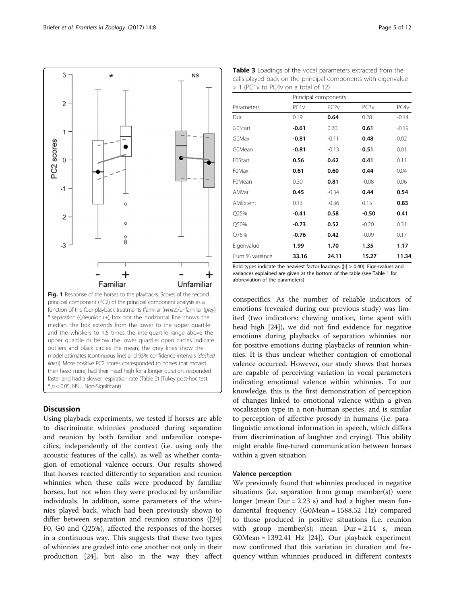<span id="page-4-0"></span>

## **Discussion**

Using playback experiments, we tested if horses are able to discriminate whinnies produced during separation and reunion by both familiar and unfamiliar conspecifics, independently of the context (i.e. using only the acoustic features of the calls), as well as whether contagion of emotional valence occurs. Our results showed that horses reacted differently to separation and reunion whinnies when these calls were produced by familiar horses, but not when they were produced by unfamiliar individuals. In addition, some parameters of the whinnies played back, which had been previously shown to differ between separation and reunion situations ([[24](#page-10-0)] F0, G0 and Q25%), affected the responses of the horses in a continuous way. This suggests that these two types of whinnies are graded into one another not only in their production [\[24\]](#page-10-0), but also in the way they affect

Table 3 Loadings of the vocal parameters extracted from the calls played back on the principal components with eigenvalue > 1 (PC1v to PC4v on a total of 12)

|                | Principal components |                  |         |                  |  |
|----------------|----------------------|------------------|---------|------------------|--|
| Parameters     | PC <sub>1</sub> v    | PC <sub>2v</sub> | PC3v    | PC4 <sub>V</sub> |  |
| Dur            | 0.19                 | 0.64             | 0.28    | $-0.14$          |  |
| <b>G0Start</b> | $-0.61$              | 0.20             | 0.61    | $-0.19$          |  |
| G0Max          | $-0.81$              | $-0.11$          | 0.48    | 0.02             |  |
| G0Mean         | $-0.81$              | $-0.13$          | 0.51    | 0.01             |  |
| <b>FOStart</b> | 0.56                 | 0.62             | 0.41    | 0.11             |  |
| <b>FOMax</b>   | 0.61                 | 0.60             | 0.44    | 0.04             |  |
| F0Mean         | 0.30                 | 0.81             | $-0.08$ | 0.06             |  |
| AMVar          | 0.45                 | $-0.34$          | 0.44    | 0.54             |  |
| AMExtent       | 0.13                 | $-0.36$          | 0.15    | 0.83             |  |
| Q25%           | -0.41                | 0.58             | $-0.50$ | 0.41             |  |
| Q50%           | $-0.73$              | 0.52             | $-0.20$ | 0.31             |  |
| Q75%           | $-0.76$              | 0.42             | $-0.09$ | 0.17             |  |
| Eigenvalue     | 1.99                 | 1.70             | 1.35    | 1.17             |  |
| Cum % variance | 33.16                | 24.11            | 15.27   | 11.34            |  |

Bold types indicate the heaviest factor loadings ( $|r| > 0.40$ ). Eigenvalues and variances explained are given at the bottom of the table (see Table [1](#page-3-0) for abbreviation of the parameters)

conspecifics. As the number of reliable indicators of emotions (revealed during our previous study) was limited (two indicators: chewing motion, time spent with head high [\[24\]](#page-10-0)), we did not find evidence for negative emotions during playbacks of separation whinnies nor for positive emotions during playbacks of reunion whinnies. It is thus unclear whether contagion of emotional valence occurred. However, our study shows that horses are capable of perceiving variation in vocal parameters indicating emotional valence within whinnies. To our knowledge, this is the first demonstration of perception of changes linked to emotional valence within a given vocalisation type in a non-human species, and is similar to perception of affective prosody in humans (i.e. paralinguistic emotional information in speech, which differs from discrimination of laughter and crying). This ability might enable fine-tuned communication between horses within a given situation.

## Valence perception

We previously found that whinnies produced in negative situations (i.e. separation from group member $(s)$ ) were longer (mean Dur = 2.23 s) and had a higher mean fundamental frequency (G0Mean = 1588.52 Hz) compared to those produced in positive situations (i.e. reunion with group member(s); mean  $Dur = 2.14$  s, mean G0Mean = 1392.41 Hz [[24](#page-10-0)]). Our playback experiment now confirmed that this variation in duration and frequency within whinnies produced in different contexts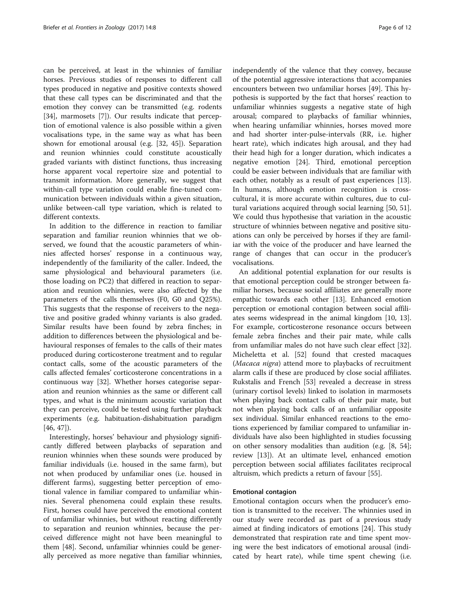can be perceived, at least in the whinnies of familiar horses. Previous studies of responses to different call types produced in negative and positive contexts showed that these call types can be discriminated and that the emotion they convey can be transmitted (e.g. rodents [[34\]](#page-11-0), marmosets [[7\]](#page-10-0)). Our results indicate that perception of emotional valence is also possible within a given vocalisations type, in the same way as what has been shown for emotional arousal (e.g. [[32,](#page-10-0) [45](#page-11-0)]). Separation and reunion whinnies could constitute acoustically graded variants with distinct functions, thus increasing horse apparent vocal repertoire size and potential to transmit information. More generally, we suggest that within-call type variation could enable fine-tuned communication between individuals within a given situation, unlike between-call type variation, which is related to different contexts.

In addition to the difference in reaction to familiar separation and familiar reunion whinnies that we observed, we found that the acoustic parameters of whinnies affected horses' response in a continuous way, independently of the familiarity of the caller. Indeed, the same physiological and behavioural parameters (i.e. those loading on PC2) that differed in reaction to separation and reunion whinnies, were also affected by the parameters of the calls themselves (F0, G0 and Q25%). This suggests that the response of receivers to the negative and positive graded whinny variants is also graded. Similar results have been found by zebra finches; in addition to differences between the physiological and behavioural responses of females to the calls of their mates produced during corticosterone treatment and to regular contact calls, some of the acoustic parameters of the calls affected females' corticosterone concentrations in a continuous way [[32\]](#page-10-0). Whether horses categorise separation and reunion whinnies as the same or different call types, and what is the minimum acoustic variation that they can perceive, could be tested using further playback experiments (e.g. habituation-dishabituation paradigm [[46, 47\]](#page-11-0)).

Interestingly, horses' behaviour and physiology significantly differed between playbacks of separation and reunion whinnies when these sounds were produced by familiar individuals (i.e. housed in the same farm), but not when produced by unfamiliar ones (i.e. housed in different farms), suggesting better perception of emotional valence in familiar compared to unfamiliar whinnies. Several phenomena could explain these results. First, horses could have perceived the emotional content of unfamiliar whinnies, but without reacting differently to separation and reunion whinnies, because the perceived difference might not have been meaningful to them [[48\]](#page-11-0). Second, unfamiliar whinnies could be generally perceived as more negative than familiar whinnies, independently of the valence that they convey, because of the potential aggressive interactions that accompanies encounters between two unfamiliar horses [[49\]](#page-11-0). This hypothesis is supported by the fact that horses' reaction to unfamiliar whinnies suggests a negative state of high arousal; compared to playbacks of familiar whinnies, when hearing unfamiliar whinnies, horses moved more and had shorter inter-pulse-intervals (RR, i.e. higher heart rate), which indicates high arousal, and they had their head high for a longer duration, which indicates a negative emotion [[24](#page-10-0)]. Third, emotional perception could be easier between individuals that are familiar with each other, notably as a result of past experiences [\[13](#page-10-0)]. In humans, although emotion recognition is crosscultural, it is more accurate within cultures, due to cultural variations acquired through social learning [\[50](#page-11-0), [51](#page-11-0)]. We could thus hypothesise that variation in the acoustic structure of whinnies between negative and positive situations can only be perceived by horses if they are famil-

vocalisations. An additional potential explanation for our results is that emotional perception could be stronger between familiar horses, because social affiliates are generally more empathic towards each other [[13\]](#page-10-0). Enhanced emotion perception or emotional contagion between social affiliates seems widespread in the animal kingdom [\[10](#page-10-0), [13](#page-10-0)]. For example, corticosterone resonance occurs between female zebra finches and their pair mate, while calls from unfamiliar males do not have such clear effect [32]. Micheletta et al. [[52\]](#page-11-0) found that crested macaques (Macaca nigra) attend more to playbacks of recruitment alarm calls if these are produced by close social affiliates. Rukstalis and French [[53\]](#page-11-0) revealed a decrease in stress (urinary cortisol levels) linked to isolation in marmosets when playing back contact calls of their pair mate, but not when playing back calls of an unfamiliar opposite sex individual. Similar enhanced reactions to the emotions experienced by familiar compared to unfamiliar individuals have also been highlighted in studies focussing on other sensory modalities than audition (e.g. [[8,](#page-10-0) [54](#page-11-0)]; review [[13\]](#page-10-0)). At an ultimate level, enhanced emotion perception between social affiliates facilitates reciprocal altruism, which predicts a return of favour [\[55\]](#page-11-0).

iar with the voice of the producer and have learned the range of changes that can occur in the producer's

## Emotional contagion

Emotional contagion occurs when the producer's emotion is transmitted to the receiver. The whinnies used in our study were recorded as part of a previous study aimed at finding indicators of emotions [\[24](#page-10-0)]. This study demonstrated that respiration rate and time spent moving were the best indicators of emotional arousal (indicated by heart rate), while time spent chewing (i.e.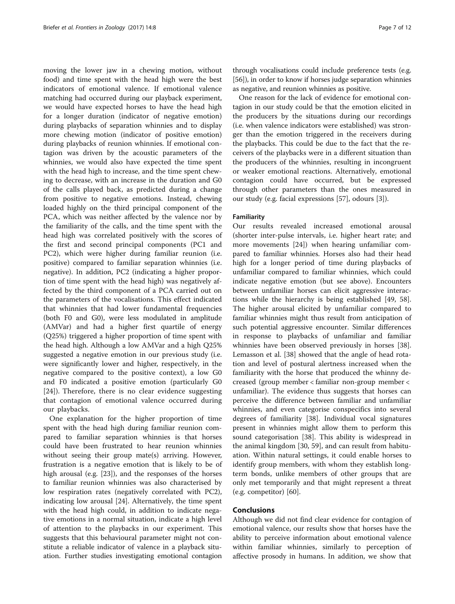moving the lower jaw in a chewing motion, without food) and time spent with the head high were the best indicators of emotional valence. If emotional valence matching had occurred during our playback experiment, we would have expected horses to have the head high for a longer duration (indicator of negative emotion) during playbacks of separation whinnies and to display more chewing motion (indicator of positive emotion) during playbacks of reunion whinnies. If emotional contagion was driven by the acoustic parameters of the whinnies, we would also have expected the time spent with the head high to increase, and the time spent chewing to decrease, with an increase in the duration and G0 of the calls played back, as predicted during a change from positive to negative emotions. Instead, chewing loaded highly on the third principal component of the PCA, which was neither affected by the valence nor by the familiarity of the calls, and the time spent with the head high was correlated positively with the scores of the first and second principal components (PC1 and PC2), which were higher during familiar reunion (i.e. positive) compared to familiar separation whinnies (i.e. negative). In addition, PC2 (indicating a higher proportion of time spent with the head high) was negatively affected by the third component of a PCA carried out on the parameters of the vocalisations. This effect indicated that whinnies that had lower fundamental frequencies (both F0 and G0), were less modulated in amplitude (AMVar) and had a higher first quartile of energy (Q25%) triggered a higher proportion of time spent with the head high. Although a low AMVar and a high Q25% suggested a negative emotion in our previous study (i.e. were significantly lower and higher, respectively, in the negative compared to the positive context), a low G0 and F0 indicated a positive emotion (particularly G0 [[24\]](#page-10-0)). Therefore, there is no clear evidence suggesting that contagion of emotional valence occurred during our playbacks.

One explanation for the higher proportion of time spent with the head high during familiar reunion compared to familiar separation whinnies is that horses could have been frustrated to hear reunion whinnies without seeing their group mate(s) arriving. However, frustration is a negative emotion that is likely to be of high arousal (e.g. [[23\]](#page-10-0)), and the responses of the horses to familiar reunion whinnies was also characterised by low respiration rates (negatively correlated with PC2), indicating low arousal [\[24](#page-10-0)]. Alternatively, the time spent with the head high could, in addition to indicate negative emotions in a normal situation, indicate a high level of attention to the playbacks in our experiment. This suggests that this behavioural parameter might not constitute a reliable indicator of valence in a playback situation. Further studies investigating emotional contagion

through vocalisations could include preference tests (e.g. [[56](#page-11-0)]), in order to know if horses judge separation whinnies as negative, and reunion whinnies as positive.

One reason for the lack of evidence for emotional contagion in our study could be that the emotion elicited in the producers by the situations during our recordings (i.e. when valence indicators were established) was stronger than the emotion triggered in the receivers during the playbacks. This could be due to the fact that the receivers of the playbacks were in a different situation than the producers of the whinnies, resulting in incongruent or weaker emotional reactions. Alternatively, emotional contagion could have occurred, but be expressed through other parameters than the ones measured in our study (e.g. facial expressions [\[57](#page-11-0)], odours [[3\]](#page-10-0)).

## Familiarity

Our results revealed increased emotional arousal (shorter inter-pulse intervals, i.e. higher heart rate; and more movements [[24](#page-10-0)]) when hearing unfamiliar compared to familiar whinnies. Horses also had their head high for a longer period of time during playbacks of unfamiliar compared to familiar whinnies, which could indicate negative emotion (but see above). Encounters between unfamiliar horses can elicit aggressive interactions while the hierarchy is being established [[49, 58](#page-11-0)]. The higher arousal elicited by unfamiliar compared to familiar whinnies might thus result from anticipation of such potential aggressive encounter. Similar differences in response to playbacks of unfamiliar and familiar whinnies have been observed previously in horses [\[38](#page-11-0)]. Lemasson et al. [[38\]](#page-11-0) showed that the angle of head rotation and level of postural alertness increased when the familiarity with the horse that produced the whinny decreased (group member < familiar non-group member < unfamiliar). The evidence thus suggests that horses can perceive the difference between familiar and unfamiliar whinnies, and even categorise conspecifics into several degrees of familiarity [[38\]](#page-11-0). Individual vocal signatures present in whinnies might allow them to perform this sound categorisation [\[38](#page-11-0)]. This ability is widespread in the animal kingdom [[30,](#page-10-0) [59\]](#page-11-0), and can result from habituation. Within natural settings, it could enable horses to identify group members, with whom they establish longterm bonds, unlike members of other groups that are only met temporarily and that might represent a threat (e.g. competitor) [\[60](#page-11-0)].

## Conclusions

Although we did not find clear evidence for contagion of emotional valence, our results show that horses have the ability to perceive information about emotional valence within familiar whinnies, similarly to perception of affective prosody in humans. In addition, we show that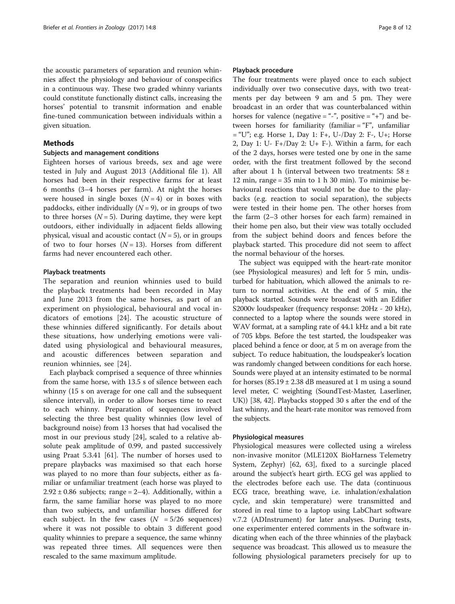the acoustic parameters of separation and reunion whinnies affect the physiology and behaviour of conspecifics in a continuous way. These two graded whinny variants could constitute functionally distinct calls, increasing the horses' potential to transmit information and enable fine-tuned communication between individuals within a given situation.

## Methods

## Subjects and management conditions

Eighteen horses of various breeds, sex and age were tested in July and August 2013 (Additional file [1\)](#page-9-0). All horses had been in their respective farms for at least 6 months (3–4 horses per farm). At night the horses were housed in single boxes  $(N = 4)$  or in boxes with paddocks, either individually  $(N = 9)$ , or in groups of two to three horses  $(N = 5)$ . During daytime, they were kept outdoors, either individually in adjacent fields allowing physical, visual and acoustic contact  $(N = 5)$ , or in groups of two to four horses  $(N = 13)$ . Horses from different farms had never encountered each other.

## Playback treatments

The separation and reunion whinnies used to build the playback treatments had been recorded in May and June 2013 from the same horses, as part of an experiment on physiological, behavioural and vocal indicators of emotions [\[24](#page-10-0)]. The acoustic structure of these whinnies differed significantly. For details about these situations, how underlying emotions were validated using physiological and behavioural measures, and acoustic differences between separation and reunion whinnies, see [[24\]](#page-10-0).

Each playback comprised a sequence of three whinnies from the same horse, with 13.5 s of silence between each whinny (15 s on average for one call and the subsequent silence interval), in order to allow horses time to react to each whinny. Preparation of sequences involved selecting the three best quality whinnies (low level of background noise) from 13 horses that had vocalised the most in our previous study [[24\]](#page-10-0), scaled to a relative absolute peak amplitude of 0.99, and pasted successively using Praat 5.3.41 [[61\]](#page-11-0). The number of horses used to prepare playbacks was maximised so that each horse was played to no more than four subjects, either as familiar or unfamiliar treatment (each horse was played to  $2.92 \pm 0.86$  subjects; range = 2–4). Additionally, within a farm, the same familiar horse was played to no more than two subjects, and unfamiliar horses differed for each subject. In the few cases  $(N = 5/26$  sequences) where it was not possible to obtain 3 different good quality whinnies to prepare a sequence, the same whinny was repeated three times. All sequences were then rescaled to the same maximum amplitude.

## Playback procedure

The four treatments were played once to each subject individually over two consecutive days, with two treatments per day between 9 am and 5 pm. They were broadcast in an order that was counterbalanced within horses for valence (negative = "-", positive = "+") and between horses for familiarity (familiar = "F", unfamiliar  $=$  "U"; e.g. Horse 1, Day 1: F+, U-/Day 2: F-, U+; Horse 2, Day 1: U- F+/Day 2: U+ F-). Within a farm, for each of the 2 days, horses were tested one by one in the same order, with the first treatment followed by the second after about 1 h (interval between two treatments:  $58 \pm$ 12 min, range =  $35$  min to 1 h  $30$  min). To minimise behavioural reactions that would not be due to the playbacks (e.g. reaction to social separation), the subjects were tested in their home pen. The other horses from the farm (2–3 other horses for each farm) remained in their home pen also, but their view was totally occluded from the subject behind doors and fences before the playback started. This procedure did not seem to affect the normal behaviour of the horses.

The subject was equipped with the heart-rate monitor (see Physiological measures) and left for 5 min, undisturbed for habituation, which allowed the animals to return to normal activities. At the end of 5 min, the playback started. Sounds were broadcast with an Edifier S2000v loudspeaker (frequency response: 20Hz - 20 kHz), connected to a laptop where the sounds were stored in WAV format, at a sampling rate of 44.1 kHz and a bit rate of 705 kbps. Before the test started, the loudspeaker was placed behind a fence or door, at 5 m on average from the subject. To reduce habituation, the loudspeaker's location was randomly changed between conditions for each horse. Sounds were played at an intensity estimated to be normal for horses  $(85.19 \pm 2.38$  dB measured at 1 m using a sound level meter, C weighting (SoundTest-Master, Laserliner, UK)) [[38](#page-11-0), [42](#page-11-0)]. Playbacks stopped 30 s after the end of the last whinny, and the heart-rate monitor was removed from the subjects.

## Physiological measures

Physiological measures were collected using a wireless non-invasive monitor (MLE120X BioHarness Telemetry System, Zephyr) [\[62](#page-11-0), [63\]](#page-11-0), fixed to a surcingle placed around the subject's heart girth. ECG gel was applied to the electrodes before each use. The data (continuous ECG trace, breathing wave, i.e. inhalation/exhalation cycle, and skin temperature) were transmitted and stored in real time to a laptop using LabChart software v.7.2 (ADInstrument) for later analyses. During tests, one experimenter entered comments in the software indicating when each of the three whinnies of the playback sequence was broadcast. This allowed us to measure the following physiological parameters precisely for up to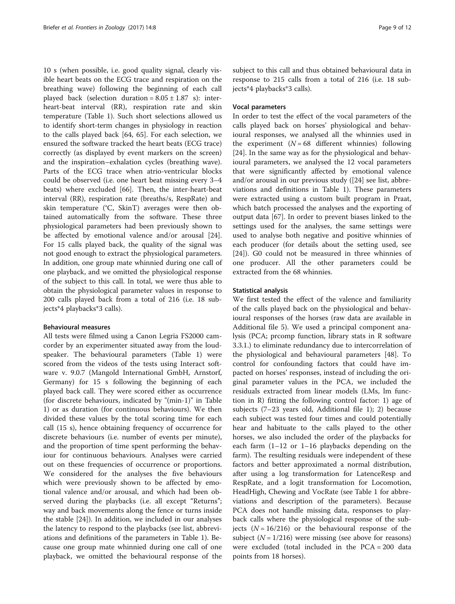10 s (when possible, i.e. good quality signal, clearly visible heart beats on the ECG trace and respiration on the breathing wave) following the beginning of each call played back (selection duration =  $8.05 \pm 1.87$  s): interheart-beat interval (RR), respiration rate and skin temperature (Table [1\)](#page-3-0). Such short selections allowed us to identify short-term changes in physiology in reaction to the calls played back [[64, 65](#page-11-0)]. For each selection, we ensured the software tracked the heart beats (ECG trace) correctly (as displayed by event markers on the screen) and the inspiration–exhalation cycles (breathing wave). Parts of the ECG trace when atrio-ventricular blocks could be observed (i.e. one heart beat missing every 3–4 beats) where excluded [[66\]](#page-11-0). Then, the inter-heart-beat interval (RR), respiration rate (breaths/s, RespRate) and skin temperature (°C, SkinT) averages were then obtained automatically from the software. These three physiological parameters had been previously shown to be affected by emotional valence and/or arousal [\[24](#page-10-0)]. For 15 calls played back, the quality of the signal was not good enough to extract the physiological parameters. In addition, one group mate whinnied during one call of one playback, and we omitted the physiological response of the subject to this call. In total, we were thus able to obtain the physiological parameter values in response to 200 calls played back from a total of 216 (i.e. 18 subjects\*4 playbacks\*3 calls).

## Behavioural measures

All tests were filmed using a Canon Legria FS2000 camcorder by an experimenter situated away from the loudspeaker. The behavioural parameters (Table [1](#page-3-0)) were scored from the videos of the tests using Interact software v. 9.0.7 (Mangold International GmbH, Arnstorf, Germany) for 15 s following the beginning of each played back call. They were scored either as occurrence (for discrete behaviours, indicated by "(min-1)" in Table [1\)](#page-3-0) or as duration (for continuous behaviours). We then divided these values by the total scoring time for each call (15 s), hence obtaining frequency of occurrence for discrete behaviours (i.e. number of events per minute), and the proportion of time spent performing the behaviour for continuous behaviours. Analyses were carried out on these frequencies of occurrence or proportions. We considered for the analyses the five behaviours which were previously shown to be affected by emotional valence and/or arousal, and which had been observed during the playbacks (i.e. all except "Returns"; way and back movements along the fence or turns inside the stable [[24\]](#page-10-0)). In addition, we included in our analyses the latency to respond to the playbacks (see list, abbreviations and definitions of the parameters in Table [1\)](#page-3-0). Because one group mate whinnied during one call of one playback, we omitted the behavioural response of the subject to this call and thus obtained behavioural data in response to 215 calls from a total of 216 (i.e. 18 subjects\*4 playbacks\*3 calls).

## Vocal parameters

In order to test the effect of the vocal parameters of the calls played back on horses' physiological and behavioural responses, we analysed all the whinnies used in the experiment  $(N = 68$  different whinnies) following [[24\]](#page-10-0). In the same way as for the physiological and behavioural parameters, we analysed the 12 vocal parameters that were significantly affected by emotional valence and/or arousal in our previous study ([[24\]](#page-10-0) see list, abbreviations and definitions in Table [1\)](#page-3-0). These parameters were extracted using a custom built program in Praat, which batch processed the analyses and the exporting of output data [[67](#page-11-0)]. In order to prevent biases linked to the settings used for the analyses, the same settings were used to analyse both negative and positive whinnies of each producer (for details about the setting used, see [[24\]](#page-10-0)). G0 could not be measured in three whinnies of one producer. All the other parameters could be extracted from the 68 whinnies.

## Statistical analysis

We first tested the effect of the valence and familiarity of the calls played back on the physiological and behavioural responses of the horses (raw data are available in Additional file [5\)](#page-9-0). We used a principal component analysis (PCA; prcomp function, library stats in R software 3.3.1.) to eliminate redundancy due to intercorrelation of the physiological and behavioural parameters [[48](#page-11-0)]. To control for confounding factors that could have impacted on horses' responses, instead of including the original parameter values in the PCA, we included the residuals extracted from linear models (LMs, lm function in R) fitting the following control factor: 1) age of subjects (7–23 years old, Additional file [1](#page-9-0)); 2) because each subject was tested four times and could potentially hear and habituate to the calls played to the other horses, we also included the order of the playbacks for each farm (1–12 or 1–16 playbacks depending on the farm). The resulting residuals were independent of these factors and better approximated a normal distribution, after using a log transformation for LatenceResp and RespRate, and a logit transformation for Locomotion, HeadHigh, Chewing and VocRate (see Table [1](#page-3-0) for abbreviations and description of the parameters). Because PCA does not handle missing data, responses to playback calls where the physiological response of the subjects  $(N = 16/216)$  or the behavioural response of the subject  $(N = 1/216)$  were missing (see above for reasons) were excluded (total included in the PCA = 200 data points from 18 horses).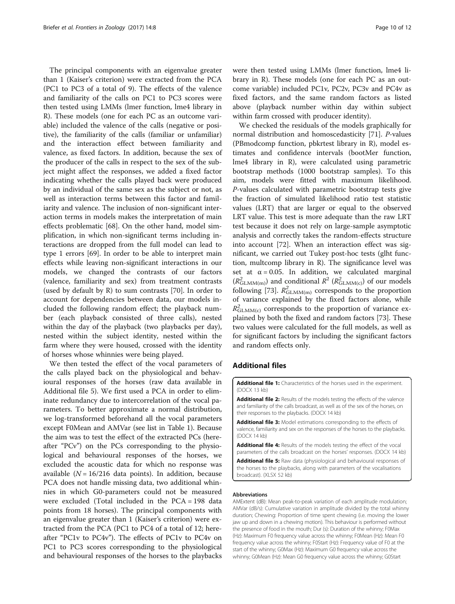<span id="page-9-0"></span>The principal components with an eigenvalue greater than 1 (Kaiser's criterion) were extracted from the PCA (PC1 to PC3 of a total of 9). The effects of the valence and familiarity of the calls on PC1 to PC3 scores were then tested using LMMs (lmer function, lme4 library in R). These models (one for each PC as an outcome variable) included the valence of the calls (negative or positive), the familiarity of the calls (familiar or unfamiliar) and the interaction effect between familiarity and valence, as fixed factors. In addition, because the sex of the producer of the calls in respect to the sex of the subject might affect the responses, we added a fixed factor indicating whether the calls played back were produced by an individual of the same sex as the subject or not, as well as interaction terms between this factor and familiarity and valence. The inclusion of non-significant interaction terms in models makes the interpretation of main effects problematic [\[68](#page-11-0)]. On the other hand, model simplification, in which non-significant terms including interactions are dropped from the full model can lead to type 1 errors [\[69\]](#page-11-0). In order to be able to interpret main effects while leaving non-significant interactions in our models, we changed the contrasts of our factors (valence, familiarity and sex) from treatment contrasts (used by default by R) to sum contrasts [[70](#page-11-0)]. In order to account for dependencies between data, our models included the following random effect; the playback number (each playback consisted of three calls), nested within the day of the playback (two playbacks per day), nested within the subject identity, nested within the farm where they were housed, crossed with the identity of horses whose whinnies were being played.

We then tested the effect of the vocal parameters of the calls played back on the physiological and behavioural responses of the horses (raw data available in Additional file 5). We first used a PCA in order to eliminate redundancy due to intercorrelation of the vocal parameters. To better approximate a normal distribution, we log-transformed beforehand all the vocal parameters except F0Mean and AMVar (see list in Table [1\)](#page-3-0). Because the aim was to test the effect of the extracted PCs (hereafter "PCv") on the PCs corresponding to the physiological and behavioural responses of the horses, we excluded the acoustic data for which no response was available ( $N = 16/216$  data points). In addition, because PCA does not handle missing data, two additional whinnies in which G0-parameters could not be measured were excluded (Total included in the PCA = 198 data points from 18 horses). The principal components with an eigenvalue greater than 1 (Kaiser's criterion) were extracted from the PCA (PC1 to PC4 of a total of 12; hereafter "PC1v to PC4v"). The effects of PC1v to PC4v on PC1 to PC3 scores corresponding to the physiological and behavioural responses of the horses to the playbacks

were then tested using LMMs (lmer function, lme4 library in R). These models (one for each PC as an outcome variable) included PC1v, PC2v, PC3v and PC4v as fixed factors, and the same random factors as listed above (playback number within day within subject within farm crossed with producer identity).

We checked the residuals of the models graphically for normal distribution and homoscedasticity [[71](#page-11-0)]. P-values (PBmodcomp function, pbkrtest library in R), model estimates and confidence intervals (bootMer function, lme4 library in R), were calculated using parametric bootstrap methods (1000 bootstrap samples). To this aim, models were fitted with maximum likelihood. P-values calculated with parametric bootstrap tests give the fraction of simulated likelihood ratio test statistic values (LRT) that are larger or equal to the observed LRT value. This test is more adequate than the raw LRT test because it does not rely on large-sample asymptotic analysis and correctly takes the random-effects structure into account [\[72](#page-11-0)]. When an interaction effect was significant, we carried out Tukey post-hoc tests (glht function, multcomp library in R). The significance level was set at  $\alpha = 0.05$ . In addition, we calculated marginal  $(R_{\text{GLMM}(m)}^2)$  and conditional  $R^2$  ( $R_{\text{GLMM}(c)}^2$ ) of our models following [\[73](#page-11-0)].  $R_{\text{GLMM}(m)}^2$  corresponds to the proportion of variance explained by the fixed factors alone, while  $R_{\text{GLMM}(c)}^2$  corresponds to the proportion of variance explained by both the fixed and random factors [\[73](#page-11-0)]. These two values were calculated for the full models, as well as for significant factors by including the significant factors and random effects only.

## Additional files

[Additional file 1:](dx.doi.org/10.1186/s12983-017-0193-1) Characteristics of the horses used in the experiment. (DOCX 13 kb)

[Additional file 2:](dx.doi.org/10.1186/s12983-017-0193-1) Results of the models testing the effects of the valence and familiarity of the calls broadcast, as well as of the sex of the horses, on their responses to the playbacks. (DOCX 14 kb)

[Additional file 3:](dx.doi.org/10.1186/s12983-017-0193-1) Model estimations corresponding to the effects of valence, familiarity and sex on the responses of the horses to the playbacks. (DOCX 14 kb)

[Additional file 4:](dx.doi.org/10.1186/s12983-017-0193-1) Results of the models testing the effect of the vocal parameters of the calls broadcast on the horses' responses. (DOCX 14 kb)

[Additional file 5:](dx.doi.org/10.1186/s12983-017-0193-1) Raw data (physiological and behavioural responses of the horses to the playbacks, along with parameters of the vocalisations broadcast). (XLSX 52 kb)

## Abbreviations

AMExtent (dB): Mean peak-to-peak variation of each amplitude modulation; AMVar (dB/s): Cumulative variation in amplitude divided by the total whinny duration; Chewing: Proportion of time spent chewing (i.e. moving the lower jaw up and down in a chewing motion). This behaviour is performed without the presence of food in the mouth; Dur (s): Duration of the whinny; F0Max (Hz): Maximum F0 frequency value across the whinny; F0Mean (Hz): Mean F0 frequency value across the whinny; F0Start (Hz): Frequency value of F0 at the start of the whinny; G0Max (Hz): Maximum G0 frequency value across the whinny; G0Mean (Hz): Mean G0 frequency value across the whinny; G0Start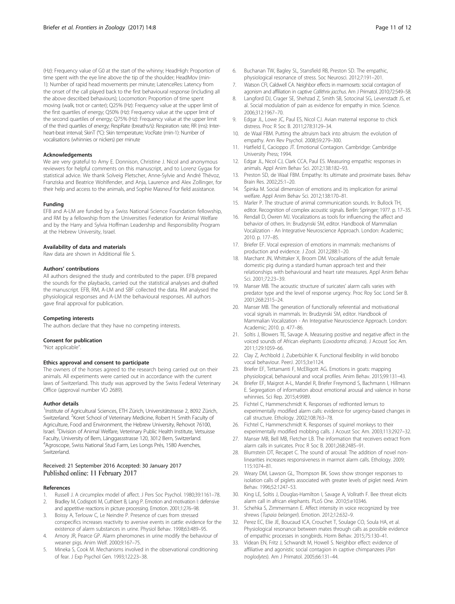<span id="page-10-0"></span>(Hz): Frequency value of G0 at the start of the whinny; HeadHigh: Proportion of time spent with the eye line above the tip of the shoulder; HeadMov (min-1): Number of rapid head movements per minute; LatenceRes: Latency from the onset of the call played back to the first behavioural response (including all the above described behaviours); Locomotion: Proportion of time spent moving (walk, trot or canter); Q25% (Hz): Frequency value at the upper limit of the first quartiles of energy; Q50% (Hz): Frequency value at the upper limit of the second quartiles of energy; Q75% (Hz): Frequency value at the upper limit of the third quartiles of energy; RespRate (breaths/s): Respiration rate; RR (ms): Interheart-beat interval; SkinT (°C): Skin temperature; VocRate (min-1): Number of vocalisations (whinnies or nickers) per minute

#### Acknowledgements

We are very grateful to Amy E. Donnison, Christine J. Nicol and anonymous reviewers for helpful comments on this manuscript, and to Lorenz Gygax for statistical advice. We thank Solveig Pletscher, Anne-Sylvie and André Thévoz, Franziska and Beatrice Wohlfender, and Anja, Laurence and Alex Zollinger, for their help and access to the animals, and Sophie Masneuf for field assistance.

#### Funding

EFB and A-LM are funded by a Swiss National Science Foundation fellowship, and RM by a fellowship from the Universities Federation for Animal Welfare and by the Harry and Sylvia Hoffman Leadership and Responsibility Program at the Hebrew University, Israel.

#### Availability of data and materials

Raw data are shown in Additional file [5.](#page-9-0)

#### Authors' contributions

All authors designed the study and contributed to the paper. EFB prepared the sounds for the playbacks, carried out the statistical analyses and drafted the manuscript. EFB, RM, A-LM and SBF collected the data. RM analysed the physiological responses and A-LM the behavioural responses. All authors gave final approval for publication.

#### Competing interests

The authors declare that they have no competing interests.

#### Consent for publication

"Not applicable".

#### Ethics approval and consent to participate

The owners of the horses agreed to the research being carried out on their animals. All experiments were carried out in accordance with the current laws of Switzerland. This study was approved by the Swiss Federal Veterinary Office (approval number VD 2689).

#### Author details

<sup>1</sup>Institute of Agricultural Sciences, ETH Zürich, Universitätstrasse 2, 8092 Zürich, Switzerland. <sup>2</sup> Koret School of Veterinary Medicine, Robert H. Smith Faculty of Agriculture, Food and Environment, the Hebrew University, Rehovot 76100, Israel. <sup>3</sup>Division of Animal Welfare, Veterinary Public Health Institute, Vetsuisse Faculty, University of Bern, Länggassstrasse 120, 3012 Bern, Switzerland. 4 Agroscope, Swiss National Stud Farm, Les Longs Prés, 1580 Avenches, Switzerland.

## Received: 21 September 2016 Accepted: 30 January 2017 Published online: 11 February 2017

## References

- Russell J. A circumplex model of affect. J Pers Soc Psychol. 1980;39:1161-78. 2. Bradley M, Codispoti M, Cuthbert B, Lang P. Emotion and motivation I: defensive
- and appetitive reactions in picture processing. Emotion. 2001;1:276–98.
- 3. Boissy A, Terlouw C, Le Neindre P. Presence of cues from stressed conspecifics increases reactivity to aversive events in cattle: evidence for the existence of alarm substances in urine. Physiol Behav. 1998;63:489–95.
- 4. Amory JR, Pearce GP. Alarm pheromones in urine modify the behaviour of weaner pigs. Anim Welf. 2000;9:167–75.
- Mineka S, Cook M. Mechanisms involved in the observational conditioning of fear. J Exp Psychol Gen. 1993;122:23–38.
- 6. Buchanan TW, Bagley SL, Stansfield RB, Preston SD. The empathic, physiological resonance of stress. Soc Neurosci. 2012;7:191–201.
- 7. Watson CFI, Caldwell CA. Neighbor effects in marmosets: social contagion of agonism and affiliation in captive Callithrix jacchus. Am J Primatol. 2010;72:549–58.
- 8. Langford DJ, Crager SE, Shehzad Z, Smith SB, Sotocinal SG, Levenstadt JS, et al. Social modulation of pain as evidence for empathy in mice. Science. 2006;312:1967–70.
- 9. Edgar JL, Lowe JC, Paul ES, Nicol CJ. Avian maternal response to chick distress. Proc R Soc B. 2011;278:3129–34.
- 10. de Waal FBM. Putting the altruism back into altruism: the evolution of empathy. Ann Rev Psychol. 2008;59:279–300.
- 11. Hatfield E, Cacioppo JT. Emotional Contagion. Cambridge: Cambridge University Press; 1994.
- 12. Edgar JL, Nicol CJ, Clark CCA, Paul ES. Measuring empathic responses in animals. Appl Anim Behav Sci. 2012;138:182–93.
- 13. Preston SD, de Waal FBM. Empathy: Its ultimate and proximate bases. Behav Brain Res. 2002;25:1–20.
- 14. Špinka M. Social dimension of emotions and its implication for animal welfare. Appl Anim Behav Sci. 2012;138:170–81.
- 15. Marler P. The structure of animal communication sounds. In: Bullock TH, editor. Recognition of complex acoustic signals. Berlin: Springer; 1977. p. 17–35.
- 16. Rendall D, Owren MJ. Vocalizations as tools for influencing the affect and behavior of others. In: Brudzynski SM, editor. Handbook of Mammalian Vocalization - An Integrative Neuroscience Approach. London: Academic; 2010. p. 177–85.
- 17. Briefer EF. Vocal expression of emotions in mammals: mechanisms of production and evidence. J Zool. 2012;288:1–20.
- 18. Marchant JN, Whittaker X, Broom DM. Vocalisations of the adult female domestic pig during a standard human approach test and their relationships with behavioural and heart rate measures. Appl Anim Behav Sci. 2001;72:23–39.
- 19. Manser MB. The acoustic structure of suricates' alarm calls varies with predator type and the level of response urgency. Proc Roy Soc Lond Ser B. 2001;268:2315–24.
- 20. Manser MB. The generation of functionally referential and motivational vocal signals in mammals. In: Brudzynski SM, editor. Handbook of Mammalian Vocalization - An Integrative Neuroscience Approach. London: Academic; 2010. p. 477–86.
- 21. Soltis J, Blowers TE, Savage A. Measuring positive and negative affect in the voiced sounds of African elephants (Loxodonta africana). J Acoust Soc Am. 2011;129:1059–66.
- 22. Clay Z, Archbold J, Zuberbühler K. Functional flexibility in wild bonobo vocal behaviour. PeerJ. 2015;3:e1124.
- 23. Briefer EF, Tettamanti F, McElligott AG. Emotions in goats: mapping physiological, behavioural and vocal profiles. Anim Behav. 2015;99:131–43.
- 24. Briefer EF, Maigrot A-L, Mandel R, Briefer Freymond S, Bachmann I, Hillmann E. Segregation of information about emotional arousal and valence in horse whinnies. Sci Rep. 2015;4:9989.
- 25. Fichtel C, Hammerschmidt K. Responses of redfronted lemurs to experimentally modified alarm calls: evidence for urgency-based changes in call structure. Ethology. 2002;108:763–78.
- 26. Fichtel C, Hammerschmidt K. Responses of squirrel monkeys to their experimentally modified mobbing calls. J Acoust Soc Am. 2003;113:2927–32.
- Manser MB, Bell MB, Fletcher LB. The information that receivers extract from alarm calls in suricates. Proc R Soc B. 2001;268:2485–91.
- 28. Blumstein DT, Recapet C. The sound of arousal: The addition of novel nonlinearities increases responsiveness in marmot alarm calls. Ethology. 2009; 115:1074–81.
- 29. Weary DM, Lawson GL, Thompson BK. Sows show stronger responses to isolation calls of piglets associated with greater levels of piglet need. Anim Behav. 1996;52:1247–53.
- 30. King LE, Soltis J, Douglas-Hamilton I, Savage A, Vollrath F. Bee threat elicits alarm call in african elephants. PLoS One. 2010;5:e10346.
- 31. Schehka S, Zimmermann E. Affect intensity in voice recognized by tree shrews (Tupaia belangeri). Emotion. 2012;12:632-9.
- 32. Perez EC, Elie JE, Boucaud ICA, Crouchet T, Soulage CO, Soula HA, et al. Physiological resonance between mates through calls as possible evidence of empathic processes in songbirds. Horm Behav. 2015;75:130–41.
- 33. Videan EN, Fritz J, Schwandt M, Howell S. Neighbor effect: evidence of affiliative and agonistic social contagion in captive chimpanzees (Pan troglodytes). Am J Primatol. 2005;66:131–44.